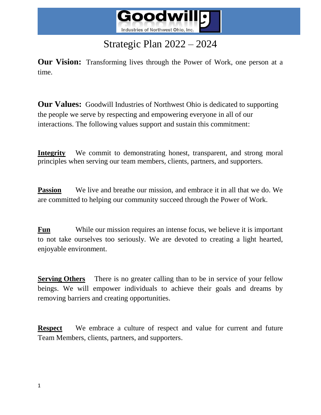

# Strategic Plan 2022 – 2024

**Our Vision:** Transforming lives through the Power of Work, one person at a time.

**Our Values:** Goodwill Industries of Northwest Ohio is dedicated to supporting the people we serve by respecting and empowering everyone in all of our interactions. The following values support and sustain this commitment:

**Integrity** We commit to demonstrating honest, transparent, and strong moral principles when serving our team members, clients, partners, and supporters.

**Passion** We live and breathe our mission, and embrace it in all that we do. We are committed to helping our community succeed through the Power of Work.

**Fun** While our mission requires an intense focus, we believe it is important to not take ourselves too seriously. We are devoted to creating a light hearted, enjoyable environment.

**Serving Others** There is no greater calling than to be in service of your fellow beings. We will empower individuals to achieve their goals and dreams by removing barriers and creating opportunities.

**Respect** We embrace a culture of respect and value for current and future Team Members, clients, partners, and supporters.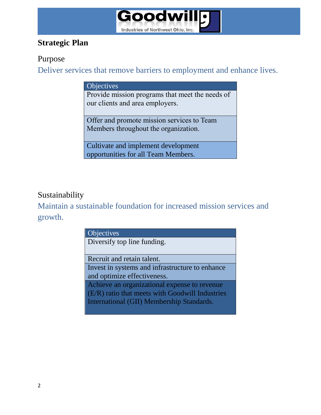

## **Strategic Plan**

#### Purpose

Deliver services that remove barriers to employment and enhance lives.

#### **Objectives**

Provide mission programs that meet the needs of our clients and area employers.

Offer and promote mission services to Team Members throughout the organization.

Cultivate and implement development opportunities for all Team Members.

## Sustainability

Maintain a sustainable foundation for increased mission services and growth.

| <b>Objectives</b>                               |
|-------------------------------------------------|
| Diversify top line funding.                     |
|                                                 |
| Recruit and retain talent.                      |
| Invest in systems and infrastructure to enhance |
| and optimize effectiveness.                     |
| Achieve an organizational expense to revenue    |
| (E/R) ratio that meets with Goodwill Industries |
| International (GII) Membership Standards.       |
|                                                 |